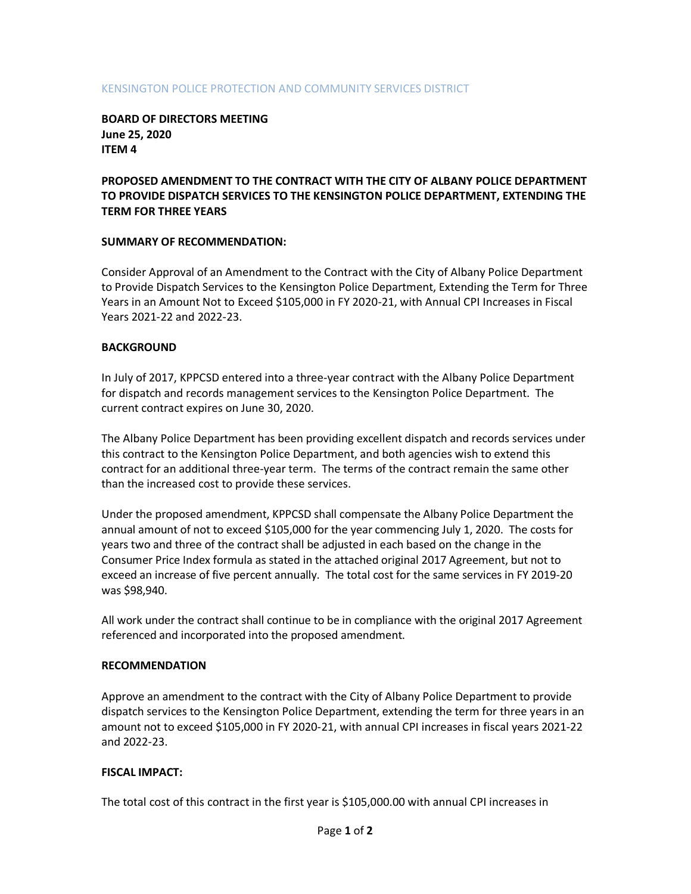### KENSINGTON POLICE PROTECTION AND COMMUNITY SERVICES DISTRICT

**BOARD OF DIRECTORS MEETING June 25, 2020 ITEM 4**

# **PROPOSED AMENDMENT TO THE CONTRACT WITH THE CITY OF ALBANY POLICE DEPARTMENT TO PROVIDE DISPATCH SERVICES TO THE KENSINGTON POLICE DEPARTMENT, EXTENDING THE TERM FOR THREE YEARS**

### **SUMMARY OF RECOMMENDATION:**

Consider Approval of an Amendment to the Contract with the City of Albany Police Department to Provide Dispatch Services to the Kensington Police Department, Extending the Term for Three Years in an Amount Not to Exceed \$105,000 in FY 2020-21, with Annual CPI Increases in Fiscal Years 2021-22 and 2022-23.

### **BACKGROUND**

In July of 2017, KPPCSD entered into a three-year contract with the Albany Police Department for dispatch and records management services to the Kensington Police Department. The current contract expires on June 30, 2020.

The Albany Police Department has been providing excellent dispatch and records services under this contract to the Kensington Police Department, and both agencies wish to extend this contract for an additional three-year term. The terms of the contract remain the same other than the increased cost to provide these services.

Under the proposed amendment, KPPCSD shall compensate the Albany Police Department the annual amount of not to exceed \$105,000 for the year commencing July 1, 2020. The costs for years two and three of the contract shall be adjusted in each based on the change in the Consumer Price Index formula as stated in the attached original 2017 Agreement, but not to exceed an increase of five percent annually. The total cost for the same services in FY 2019-20 was \$98,940.

All work under the contract shall continue to be in compliance with the original 2017 Agreement referenced and incorporated into the proposed amendment.

#### **RECOMMENDATION**

Approve an amendment to the contract with the City of Albany Police Department to provide dispatch services to the Kensington Police Department, extending the term for three years in an amount not to exceed \$105,000 in FY 2020-21, with annual CPI increases in fiscal years 2021-22 and 2022-23.

## **FISCAL IMPACT:**

The total cost of this contract in the first year is \$105,000.00 with annual CPI increases in